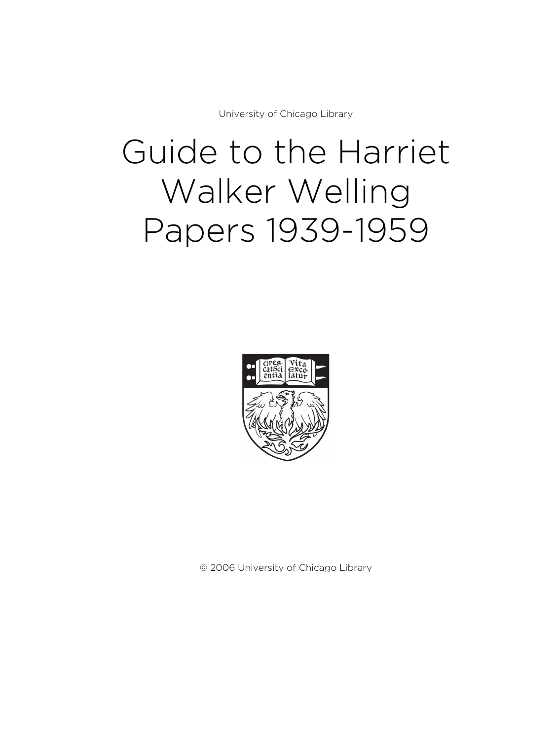University of Chicago Library

# Guide to the Harriet Walker Welling Papers 1939-1959



© 2006 University of Chicago Library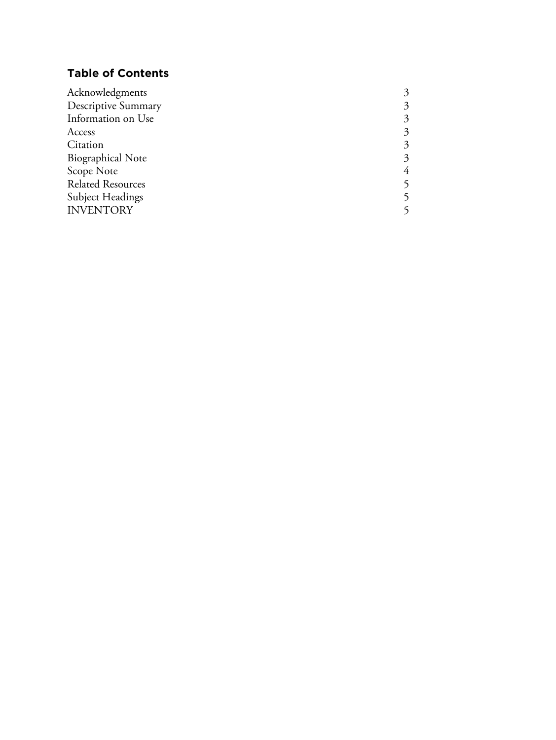# **Table of Contents**

| 3 |
|---|
| 3 |
| 3 |
| 3 |
| 3 |
| 4 |
|   |
|   |
|   |
|   |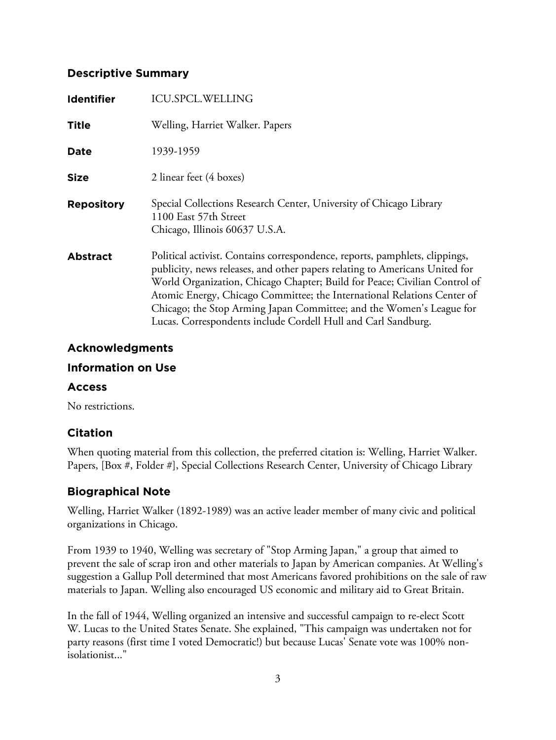## **Descriptive Summary**

| <b>Identifier</b> | <b>ICU.SPCL.WELLING</b>                                                                                                                                                                                                                                                                                                                                                                                                                                     |
|-------------------|-------------------------------------------------------------------------------------------------------------------------------------------------------------------------------------------------------------------------------------------------------------------------------------------------------------------------------------------------------------------------------------------------------------------------------------------------------------|
| <b>Title</b>      | Welling, Harriet Walker. Papers                                                                                                                                                                                                                                                                                                                                                                                                                             |
| Date              | 1939-1959                                                                                                                                                                                                                                                                                                                                                                                                                                                   |
| <b>Size</b>       | 2 linear feet (4 boxes)                                                                                                                                                                                                                                                                                                                                                                                                                                     |
| <b>Repository</b> | Special Collections Research Center, University of Chicago Library<br>1100 East 57th Street<br>Chicago, Illinois 60637 U.S.A.                                                                                                                                                                                                                                                                                                                               |
| <b>Abstract</b>   | Political activist. Contains correspondence, reports, pamphlets, clippings,<br>publicity, news releases, and other papers relating to Americans United for<br>World Organization, Chicago Chapter; Build for Peace; Civilian Control of<br>Atomic Energy, Chicago Committee; the International Relations Center of<br>Chicago; the Stop Arming Japan Committee; and the Women's League for<br>Lucas. Correspondents include Cordell Hull and Carl Sandburg. |

## **Acknowledgments**

## **Information on Use**

## **Access**

No restrictions.

# **Citation**

When quoting material from this collection, the preferred citation is: Welling, Harriet Walker. Papers, [Box #, Folder #], Special Collections Research Center, University of Chicago Library

# **Biographical Note**

Welling, Harriet Walker (1892-1989) was an active leader member of many civic and political organizations in Chicago.

From 1939 to 1940, Welling was secretary of "Stop Arming Japan," a group that aimed to prevent the sale of scrap iron and other materials to Japan by American companies. At Welling's suggestion a Gallup Poll determined that most Americans favored prohibitions on the sale of raw materials to Japan. Welling also encouraged US economic and military aid to Great Britain.

In the fall of 1944, Welling organized an intensive and successful campaign to re-elect Scott W. Lucas to the United States Senate. She explained, "This campaign was undertaken not for party reasons (first time I voted Democratic!) but because Lucas' Senate vote was 100% nonisolationist..."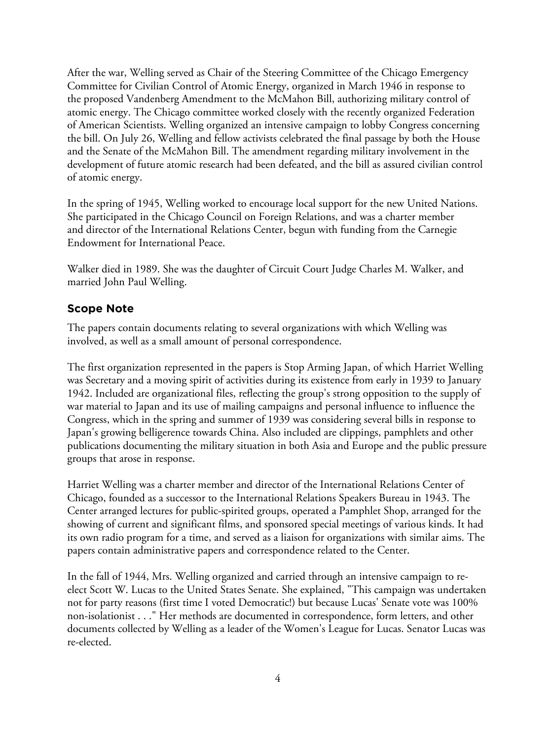After the war, Welling served as Chair of the Steering Committee of the Chicago Emergency Committee for Civilian Control of Atomic Energy, organized in March 1946 in response to the proposed Vandenberg Amendment to the McMahon Bill, authorizing military control of atomic energy. The Chicago committee worked closely with the recently organized Federation of American Scientists. Welling organized an intensive campaign to lobby Congress concerning the bill. On July 26, Welling and fellow activists celebrated the final passage by both the House and the Senate of the McMahon Bill. The amendment regarding military involvement in the development of future atomic research had been defeated, and the bill as assured civilian control of atomic energy.

In the spring of 1945, Welling worked to encourage local support for the new United Nations. She participated in the Chicago Council on Foreign Relations, and was a charter member and director of the International Relations Center, begun with funding from the Carnegie Endowment for International Peace.

Walker died in 1989. She was the daughter of Circuit Court Judge Charles M. Walker, and married John Paul Welling.

# **Scope Note**

The papers contain documents relating to several organizations with which Welling was involved, as well as a small amount of personal correspondence.

The first organization represented in the papers is Stop Arming Japan, of which Harriet Welling was Secretary and a moving spirit of activities during its existence from early in 1939 to January 1942. Included are organizational files, reflecting the group's strong opposition to the supply of war material to Japan and its use of mailing campaigns and personal influence to influence the Congress, which in the spring and summer of 1939 was considering several bills in response to Japan's growing belligerence towards China. Also included are clippings, pamphlets and other publications documenting the military situation in both Asia and Europe and the public pressure groups that arose in response.

Harriet Welling was a charter member and director of the International Relations Center of Chicago, founded as a successor to the International Relations Speakers Bureau in 1943. The Center arranged lectures for public-spirited groups, operated a Pamphlet Shop, arranged for the showing of current and significant films, and sponsored special meetings of various kinds. It had its own radio program for a time, and served as a liaison for organizations with similar aims. The papers contain administrative papers and correspondence related to the Center.

In the fall of 1944, Mrs. Welling organized and carried through an intensive campaign to reelect Scott W. Lucas to the United States Senate. She explained, "This campaign was undertaken not for party reasons (first time I voted Democratic!) but because Lucas' Senate vote was 100% non-isolationist . . ." Her methods are documented in correspondence, form letters, and other documents collected by Welling as a leader of the Women's League for Lucas. Senator Lucas was re-elected.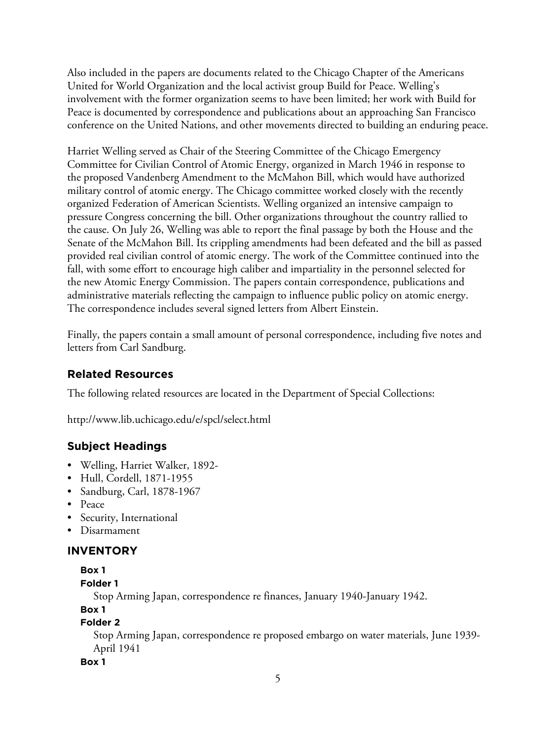Also included in the papers are documents related to the Chicago Chapter of the Americans United for World Organization and the local activist group Build for Peace. Welling's involvement with the former organization seems to have been limited; her work with Build for Peace is documented by correspondence and publications about an approaching San Francisco conference on the United Nations, and other movements directed to building an enduring peace.

Harriet Welling served as Chair of the Steering Committee of the Chicago Emergency Committee for Civilian Control of Atomic Energy, organized in March 1946 in response to the proposed Vandenberg Amendment to the McMahon Bill, which would have authorized military control of atomic energy. The Chicago committee worked closely with the recently organized Federation of American Scientists. Welling organized an intensive campaign to pressure Congress concerning the bill. Other organizations throughout the country rallied to the cause. On July 26, Welling was able to report the final passage by both the House and the Senate of the McMahon Bill. Its crippling amendments had been defeated and the bill as passed provided real civilian control of atomic energy. The work of the Committee continued into the fall, with some effort to encourage high caliber and impartiality in the personnel selected for the new Atomic Energy Commission. The papers contain correspondence, publications and administrative materials reflecting the campaign to influence public policy on atomic energy. The correspondence includes several signed letters from Albert Einstein.

Finally, the papers contain a small amount of personal correspondence, including five notes and letters from Carl Sandburg.

# **Related Resources**

The following related resources are located in the Department of Special Collections:

http://www.lib.uchicago.edu/e/spcl/select.html

# **Subject Headings**

- Welling, Harriet Walker, 1892-
- Hull, Cordell, 1871-1955
- Sandburg, Carl, 1878-1967
- Peace
- Security, International
- Disarmament

## **INVENTORY**

```
Box 1
```

```
Folder 1
```
Stop Arming Japan, correspondence re finances, January 1940-January 1942.

**Box 1**

## **Folder 2**

Stop Arming Japan, correspondence re proposed embargo on water materials, June 1939- April 1941

## **Box 1**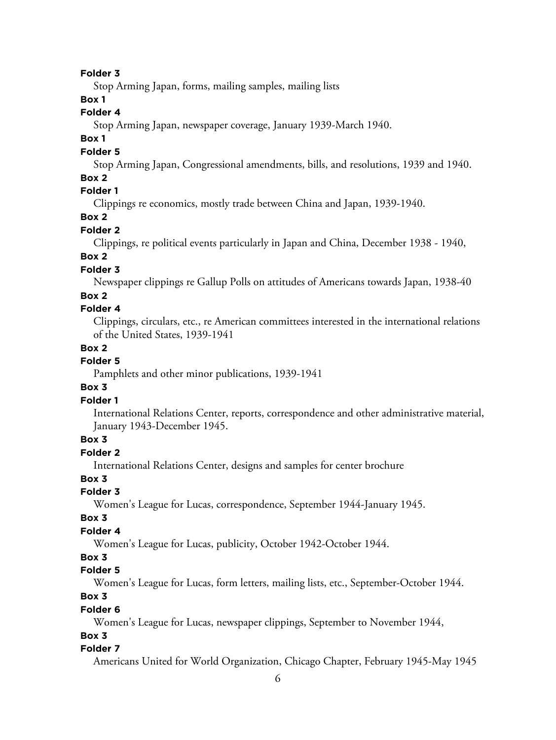#### **Folder 3**

Stop Arming Japan, forms, mailing samples, mailing lists

## **Box 1**

#### **Folder 4**

Stop Arming Japan, newspaper coverage, January 1939-March 1940.

#### **Box 1**

#### **Folder 5**

Stop Arming Japan, Congressional amendments, bills, and resolutions, 1939 and 1940.

#### **Box 2**

## **Folder 1**

Clippings re economics, mostly trade between China and Japan, 1939-1940.

## **Box 2**

#### **Folder 2**

Clippings, re political events particularly in Japan and China, December 1938 - 1940,

# **Box 2**

## **Folder 3**

Newspaper clippings re Gallup Polls on attitudes of Americans towards Japan, 1938-40

#### **Box 2**

## **Folder 4**

Clippings, circulars, etc., re American committees interested in the international relations of the United States, 1939-1941

#### **Box 2**

#### **Folder 5**

Pamphlets and other minor publications, 1939-1941

#### **Box 3**

#### **Folder 1**

International Relations Center, reports, correspondence and other administrative material, January 1943-December 1945.

## **Box 3**

## **Folder 2**

International Relations Center, designs and samples for center brochure

#### **Box 3**

## **Folder 3**

Women's League for Lucas, correspondence, September 1944-January 1945.

#### **Box 3**

#### **Folder 4**

Women's League for Lucas, publicity, October 1942-October 1944.

## **Box 3**

#### **Folder 5**

Women's League for Lucas, form letters, mailing lists, etc., September-October 1944.

## **Box 3**

#### **Folder 6**

Women's League for Lucas, newspaper clippings, September to November 1944,

#### **Box 3**

#### **Folder 7**

Americans United for World Organization, Chicago Chapter, February 1945-May 1945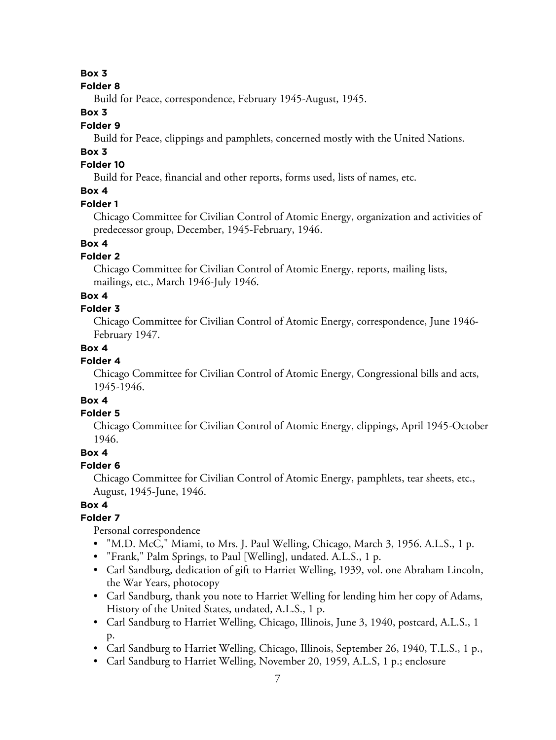#### **Box 3**

#### **Folder 8**

Build for Peace, correspondence, February 1945-August, 1945.

#### **Box 3**

#### **Folder 9**

Build for Peace, clippings and pamphlets, concerned mostly with the United Nations.

## **Box 3**

## **Folder 10**

Build for Peace, financial and other reports, forms used, lists of names, etc.

## **Box 4**

#### **Folder 1**

Chicago Committee for Civilian Control of Atomic Energy, organization and activities of predecessor group, December, 1945-February, 1946.

# **Box 4**

## **Folder 2**

Chicago Committee for Civilian Control of Atomic Energy, reports, mailing lists, mailings, etc., March 1946-July 1946.

## **Box 4**

#### **Folder 3**

Chicago Committee for Civilian Control of Atomic Energy, correspondence, June 1946- February 1947.

## **Box 4**

## **Folder 4**

Chicago Committee for Civilian Control of Atomic Energy, Congressional bills and acts, 1945-1946.

# **Box 4**

## **Folder 5**

Chicago Committee for Civilian Control of Atomic Energy, clippings, April 1945-October 1946.

## **Box 4**

## **Folder 6**

Chicago Committee for Civilian Control of Atomic Energy, pamphlets, tear sheets, etc., August, 1945-June, 1946.

## **Box 4**

## **Folder 7**

Personal correspondence

- "M.D. McC," Miami, to Mrs. J. Paul Welling, Chicago, March 3, 1956. A.L.S., 1 p.
- "Frank," Palm Springs, to Paul [Welling], undated. A.L.S., 1 p.
- Carl Sandburg, dedication of gift to Harriet Welling, 1939, vol. one Abraham Lincoln, the War Years, photocopy
- Carl Sandburg, thank you note to Harriet Welling for lending him her copy of Adams, History of the United States, undated, A.L.S., 1 p.
- Carl Sandburg to Harriet Welling, Chicago, Illinois, June 3, 1940, postcard, A.L.S., 1 p.
- Carl Sandburg to Harriet Welling, Chicago, Illinois, September 26, 1940, T.L.S., 1 p.,
- Carl Sandburg to Harriet Welling, November 20, 1959, A.L.S, 1 p.; enclosure